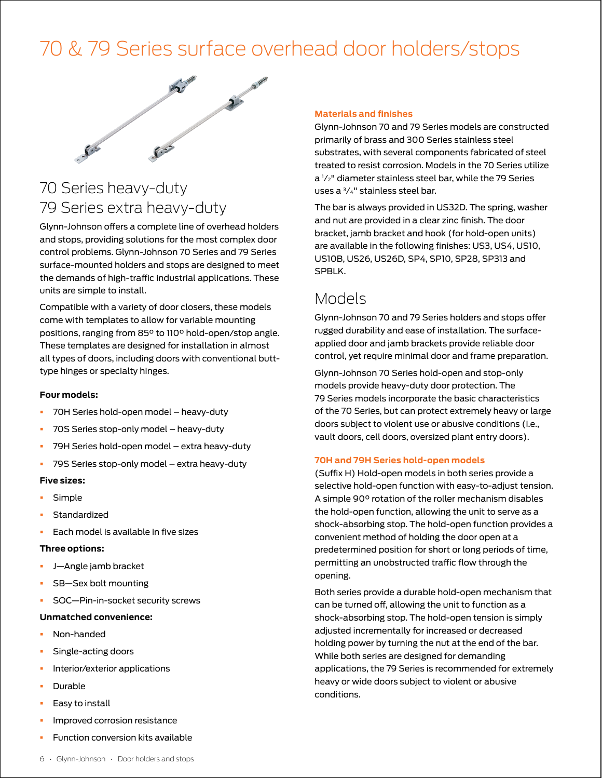# [70 & 79 Series surface overhead door holders/stops](https://www.iveshinges.com/Glynn-Johnson-Overhead-Holders-and-Stops-class.aspx)



# 70 Series heavy-duty 79 Series extra heavy-duty

Glynn-Johnson offers a complete line of overhead holders and stops, providing solutions for the most complex door control problems. Glynn-Johnson 70 Series and 79 Series surface-mounted holders and stops are designed to meet the demands of high-traffic industrial applications. These units are simple to install.

Compatible with a variety of door closers, these models come with templates to allow for variable mounting positions, ranging from 85° to 110° hold-open/stop angle. These templates are designed for installation in almost all types of doors, including doors with conventional butttype hinges or specialty hinges.

#### **Four models:**

- § 70H Series hold-open model heavy-duty
- § 70S Series stop-only model heavy-duty
- § 79H Series hold-open model extra heavy-duty
- § 79S Series stop-only model extra heavy-duty

#### **Five sizes:**

- § Simple
- **Standardized**
- Each model is available in five sizes

#### **Three options:**

- § J—Angle jamb bracket
- § SB—Sex bolt mounting
- § SOC—Pin-in-socket security screws

#### **Unmatched convenience:**

- § Non-handed
- § Single-acting doors
- Interior/exterior applications
- § Durable
- Easy to install
- § Improved corrosion resistance
- § Function conversion kits available

#### **Materials and finishes**

Glynn-Johnson 70 and 79 Series models are constructed primarily of brass and 300 Series stainless steel substrates, with several components fabricated of steel treated to resist corrosion. Models in the 70 Series utilize a 1 ⁄2" diameter stainless steel bar, while the 79 Series uses a 3⁄4" stainless steel bar.

The bar is always provided in US32D. The spring, washer and nut are provided in a clear zinc finish. The door bracket, jamb bracket and hook (for hold-open units) are available in the following finishes: US3, US4, US10, US10B, US26, US26D, SP4, SP10, SP28, SP313 and SPBLK.

## Models

Glynn-Johnson 70 and 79 Series holders and stops offer rugged durability and ease of installation. The surfaceapplied door and jamb brackets provide reliable door control, yet require minimal door and frame preparation.

Glynn-Johnson 70 Series hold-open and stop-only models provide heavy-duty door protection. The 79 Series models incorporate the basic characteristics of the 70 Series, but can protect extremely heavy or large doors subject to violent use or abusive conditions (i.e., vault doors, cell doors, oversized plant entry doors).

#### **70H and 79H Series hold-open models**

(Suffix H) Hold-open models in both series provide a selective hold-open function with easy-to-adjust tension. A simple 90° rotation of the roller mechanism disables the hold-open function, allowing the unit to serve as a shock-absorbing stop. The hold-open function provides a convenient method of holding the door open at a predetermined position for short or long periods of time, permitting an unobstructed traffic flow through the opening.

Both series provide a durable hold-open mechanism that can be turned off, allowing the unit to function as a shock-absorbing stop. The hold-open tension is simply adjusted incrementally for increased or decreased holding power by turning the nut at the end of the bar. While both series are designed for demanding applications, the 79 Series is recommended for extremely heavy or wide doors subject to violent or abusive conditions.